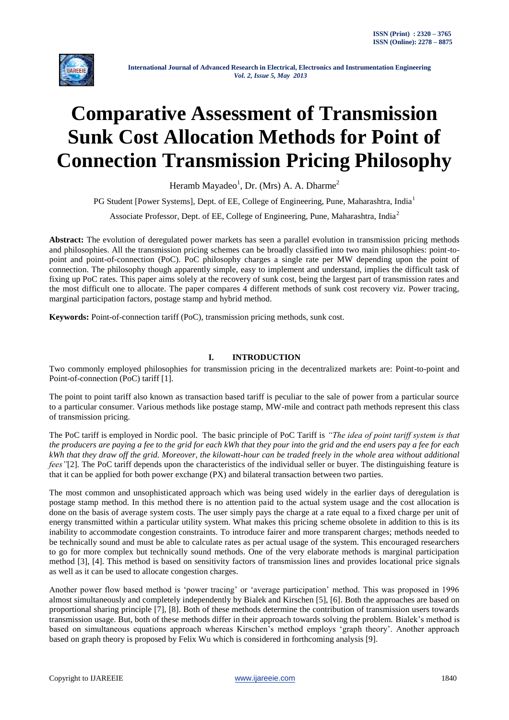

# **Comparative Assessment of Transmission Sunk Cost Allocation Methods for Point of Connection Transmission Pricing Philosophy**

Heramb Mayadeo<sup>1</sup>, Dr. (Mrs) A. A. Dharme<sup>2</sup>

PG Student [Power Systems], Dept. of EE, College of Engineering, Pune, Maharashtra, India<sup>1</sup>

Associate Professor, Dept. of EE, College of Engineering, Pune, Maharashtra, India<sup>2</sup>

**Abstract:** The evolution of deregulated power markets has seen a parallel evolution in transmission pricing methods and philosophies. All the transmission pricing schemes can be broadly classified into two main philosophies: point-topoint and point-of-connection (PoC). PoC philosophy charges a single rate per MW depending upon the point of connection. The philosophy though apparently simple, easy to implement and understand, implies the difficult task of fixing up PoC rates. This paper aims solely at the recovery of sunk cost, being the largest part of transmission rates and the most difficult one to allocate. The paper compares 4 different methods of sunk cost recovery viz. Power tracing, marginal participation factors, postage stamp and hybrid method.

**Keywords:** Point-of-connection tariff (PoC), transmission pricing methods, sunk cost.

# **I. INTRODUCTION**

Two commonly employed philosophies for transmission pricing in the decentralized markets are: Point-to-point and Point-of-connection (PoC) tariff [1].

The point to point tariff also known as transaction based tariff is peculiar to the sale of power from a particular source to a particular consumer. Various methods like postage stamp, MW-mile and contract path methods represent this class of transmission pricing.

The PoC tariff is employed in Nordic pool. The basic principle of PoC Tariff is *"The idea of point tariff system is that the producers are paying a fee to the grid for each kWh that they pour into the grid and the end users pay a fee for each kWh that they draw off the grid. Moreover, the kilowatt-hour can be traded freely in the whole area without additional fees* "[2]. The PoC tariff depends upon the characteristics of the individual seller or buyer. The distinguishing feature is that it can be applied for both power exchange (PX) and bilateral transaction between two parties.

The most common and unsophisticated approach which was being used widely in the earlier days of deregulation is postage stamp method. In this method there is no attention paid to the actual system usage and the cost allocation is done on the basis of average system costs. The user simply pays the charge at a rate equal to a fixed charge per unit of energy transmitted within a particular utility system. What makes this pricing scheme obsolete in addition to this is its inability to accommodate congestion constraints. To introduce fairer and more transparent charges; methods needed to be technically sound and must be able to calculate rates as per actual usage of the system. This encouraged researchers to go for more complex but technically sound methods. One of the very elaborate methods is marginal participation method [3], [4]. This method is based on sensitivity factors of transmission lines and provides locational price signals as well as it can be used to allocate congestion charges.

Another power flow based method is "power tracing" or "average participation" method. This was proposed in 1996 almost simultaneously and completely independently by Bialek and Kirschen [5], [6]. Both the approaches are based on proportional sharing principle [7], [8]. Both of these methods determine the contribution of transmission users towards transmission usage. But, both of these methods differ in their approach towards solving the problem. Bialek"s method is based on simultaneous equations approach whereas Kirschen"s method employs "graph theory". Another approach based on graph theory is proposed by Felix Wu which is considered in forthcoming analysis [9].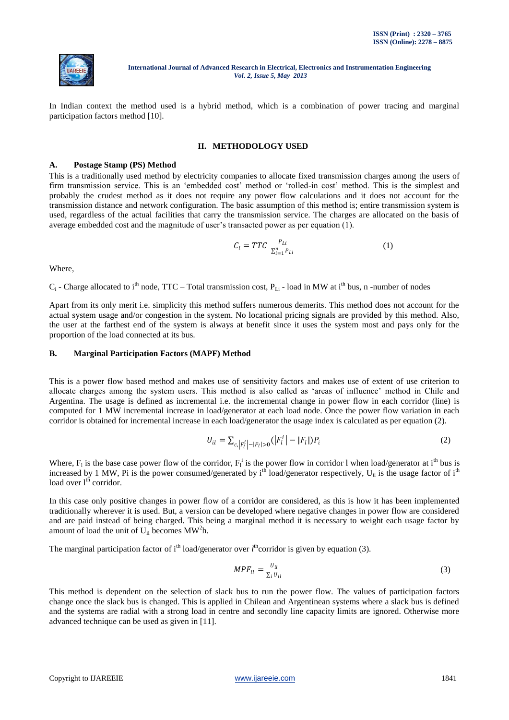

In Indian context the method used is a hybrid method, which is a combination of power tracing and marginal participation factors method [10].

### **II. METHODOLOGY USED**

### **A. Postage Stamp (PS) Method**

This is a traditionally used method by electricity companies to allocate fixed transmission charges among the users of firm transmission service. This is an 'embedded cost' method or 'rolled-in cost' method. This is the simplest and probably the crudest method as it does not require any power flow calculations and it does not account for the transmission distance and network configuration. The basic assumption of this method is; entire transmission system is used, regardless of the actual facilities that carry the transmission service. The charges are allocated on the basis of average embedded cost and the magnitude of user"s transacted power as per equation (1).

$$
C_i = TTC \frac{P_{Li}}{\sum_{i=1}^{n} P_{Li}} \tag{1}
$$

Where,

 $C_i$  - Charge allocated to i<sup>th</sup> node, TTC – Total transmission cost,  $P_{Li}$  - load in MW at i<sup>th</sup> bus, n -number of nodes

Apart from its only merit i.e. simplicity this method suffers numerous demerits. This method does not account for the actual system usage and/or congestion in the system. No locational pricing signals are provided by this method. Also, the user at the farthest end of the system is always at benefit since it uses the system most and pays only for the proportion of the load connected at its bus.

#### **B. Marginal Participation Factors (MAPF) Method**

This is a power flow based method and makes use of sensitivity factors and makes use of extent of use criterion to allocate charges among the system users. This method is also called as "areas of influence" method in Chile and Argentina. The usage is defined as incremental i.e. the incremental change in power flow in each corridor (line) is computed for 1 MW incremental increase in load/generator at each load node. Once the power flow variation in each corridor is obtained for incremental increase in each load/generator the usage index is calculated as per equation (2).

$$
U_{il} = \sum_{c, |F_l^i| - |F_l| > 0} (|F_l^i| - |F_l|) P_i
$$
\n(2)

Where,  $F_1$  is the base case power flow of the corridor,  $F_1^i$  is the power flow in corridor 1 when load/generator at i<sup>th</sup> bus is increased by 1 MW, Pi is the power consumed/generated by  $i<sup>th</sup>$  load/generator respectively, U<sub>il</sub> is the usage factor of  $i<sup>th</sup>$ load over  $l<sup>th</sup>$  corridor.

In this case only positive changes in power flow of a corridor are considered, as this is how it has been implemented traditionally wherever it is used. But, a version can be developed where negative changes in power flow are considered and are paid instead of being charged. This being a marginal method it is necessary to weight each usage factor by amount of load the unit of  $U_{il}$  becomes MW<sup>2</sup>h.

The marginal participation factor of i<sup>th</sup> load/generator over  $l<sup>th</sup>$  corridor is given by equation (3).

$$
MPF_{il} = \frac{U_{il}}{\sum_{i} U_{il}}\tag{3}
$$

This method is dependent on the selection of slack bus to run the power flow. The values of participation factors change once the slack bus is changed. This is applied in Chilean and Argentinean systems where a slack bus is defined and the systems are radial with a strong load in centre and secondly line capacity limits are ignored. Otherwise more advanced technique can be used as given in [11].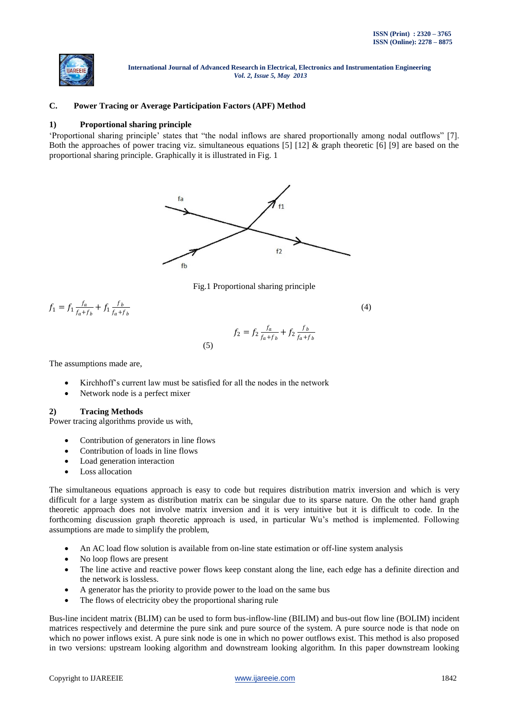

## **C. Power Tracing or Average Participation Factors (APF) Method**

### **1) Proportional sharing principle**

"Proportional sharing principle" states that "the nodal inflows are shared proportionally among nodal outflows" [7]. Both the approaches of power tracing viz. simultaneous equations [5] [12] & graph theoretic [6] [9] are based on the proportional sharing principle. Graphically it is illustrated in Fig. 1



Fig.1 Proportional sharing principle

$$
f_1 = f_1 \frac{f_a}{f_a + f_b} + f_1 \frac{f_b}{f_a + f_b}
$$
(4)  

$$
f_2 = f_2 \frac{f_a}{f_a + f_b} + f_2 \frac{f_b}{f_a + f_b}
$$

(5)

The assumptions made are,

- Kirchhoff's current law must be satisfied for all the nodes in the network
- Network node is a perfect mixer

#### **2) Tracing Methods**

Power tracing algorithms provide us with,

- Contribution of generators in line flows
- Contribution of loads in line flows
- Load generation interaction
- Loss allocation

The simultaneous equations approach is easy to code but requires distribution matrix inversion and which is very difficult for a large system as distribution matrix can be singular due to its sparse nature. On the other hand graph theoretic approach does not involve matrix inversion and it is very intuitive but it is difficult to code. In the forthcoming discussion graph theoretic approach is used, in particular Wu"s method is implemented. Following assumptions are made to simplify the problem,

- An AC load flow solution is available from on-line state estimation or off-line system analysis
- No loop flows are present
- The line active and reactive power flows keep constant along the line, each edge has a definite direction and the network is lossless.
- A generator has the priority to provide power to the load on the same bus
- The flows of electricity obey the proportional sharing rule

Bus-line incident matrix (BLIM) can be used to form bus-inflow-line (BILIM) and bus-out flow line (BOLIM) incident matrices respectively and determine the pure sink and pure source of the system. A pure source node is that node on which no power inflows exist. A pure sink node is one in which no power outflows exist. This method is also proposed in two versions: upstream looking algorithm and downstream looking algorithm. In this paper downstream looking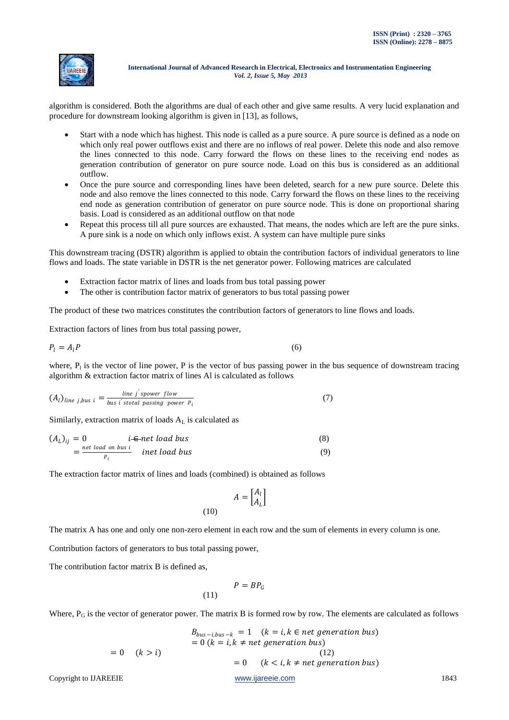

algorithm is considered. Both the algorithms are dual of each other and give same results. A very lucid explanation and procedure for downstream looking algorithm is given in [13], as follows,

- Start with a node which has highest. This node is called as a pure source. A pure source is defined as a node on which only real power outflows exist and there are no inflows of real power. Delete this node and also remove the lines connected to this node. Carry forward the flows on these lines to the receiving end nodes as generation contribution of generator on pure source node. Load on this bus is considered as an additional outflow.
- Once the pure source and corresponding lines have been deleted, search for a new pure source. Delete this node and also remove the lines connected to this node. Carry forward the flows on these lines to the receiving end node as generation contribution of generator on pure source node. This is done on proportional sharing basis. Load is considered as an additional outflow on that node
- Repeat this process till all pure sources are exhausted. That means, the nodes which are left are the pure sinks. A pure sink is a node on which only inflows exist. A system can have multiple pure sinks

This downstream tracing (DSTR) algorithm is applied to obtain the contribution factors of individual generators to line flows and loads. The state variable in DSTR is the net generator power. Following matrices are calculated

- Extraction factor matrix of lines and loads from bus total passing power
- The other is contribution factor matrix of generators to bus total passing power

The product of these two matrices constitutes the contribution factors of generators to line flows and loads.

Extraction factors of lines from bus total passing power,

$$
P_l = A_l P \tag{6}
$$

where,  $P_1$  is the vector of line power, P is the vector of bus passing power in the bus sequence of downstream tracing algorithm & extraction factor matrix of lines Al is calculated as follows

$$
(Al)line j,bus i = \frac{line j'spower flow}{bus i'stotal passing power Pi}
$$
 (7)

Similarly, extraction matrix of loads  $A<sub>L</sub>$  is calculated as

 = 0 ∈ (8) = (9)

The extraction factor matrix of lines and loads (combined) is obtained as follows

$$
A = \begin{bmatrix} A_l \\ A_L \end{bmatrix}
$$
 (10)

The matrix A has one and only one non-zero element in each row and the sum of elements in every column is one.

 $\overline{\phantom{a}}$ 

Contribution factors of generators to bus total passing power,

The contribution factor matrix B is defined as,

$$
P = BP_G
$$

 $(1)$ 

Where,  $P_G$  is the vector of generator power. The matrix B is formed row by row. The elements are calculated as follows

$$
B_{bus-i,bus-k} = 1 \quad (k = i, k \in net \, generation \, bus)
$$
  
= 0 \quad (k > i)  
= 0 \quad (k > i)  
Copyright to IJAREEIE  

$$
Wwwiijareiei.com
$$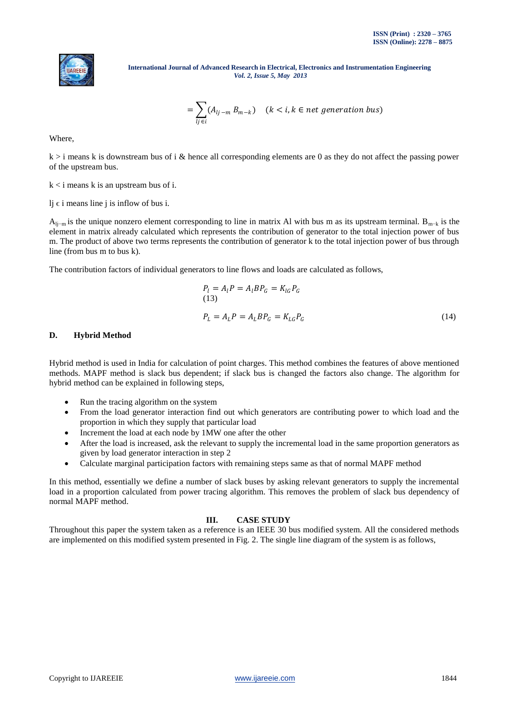

$$
=\sum_{lj\in i}(A_{lj-m}\,B_{m-k})\quad (k
$$

Where,

 $k > i$  means k is downstream bus of i & hence all corresponding elements are 0 as they do not affect the passing power of the upstream bus.

 $k < i$  means k is an upstream bus of i.

lj  $\epsilon$  i means line j is inflow of bus i.

 $A_{\text{li}-\text{m}}$  is the unique nonzero element corresponding to line in matrix Al with bus m as its upstream terminal. B<sub>m−k</sub> is the element in matrix already calculated which represents the contribution of generator to the total injection power of bus m. The product of above two terms represents the contribution of generator k to the total injection power of bus through line (from bus m to bus k).

The contribution factors of individual generators to line flows and loads are calculated as follows,

$$
P_l = A_l P = A_l B P_G = K_{lG} P_G
$$
  
(13)  

$$
P_L = A_L P = A_L B P_G = K_{LG} P_G
$$
 (14)

## **D. Hybrid Method**

Hybrid method is used in India for calculation of point charges. This method combines the features of above mentioned methods. MAPF method is slack bus dependent; if slack bus is changed the factors also change. The algorithm for hybrid method can be explained in following steps,

- Run the tracing algorithm on the system
- From the load generator interaction find out which generators are contributing power to which load and the proportion in which they supply that particular load
- Increment the load at each node by 1MW one after the other
- After the load is increased, ask the relevant to supply the incremental load in the same proportion generators as given by load generator interaction in step 2
- Calculate marginal participation factors with remaining steps same as that of normal MAPF method

In this method, essentially we define a number of slack buses by asking relevant generators to supply the incremental load in a proportion calculated from power tracing algorithm. This removes the problem of slack bus dependency of normal MAPF method.

## **III. CASE STUDY**

Throughout this paper the system taken as a reference is an IEEE 30 bus modified system. All the considered methods are implemented on this modified system presented in Fig. 2. The single line diagram of the system is as follows,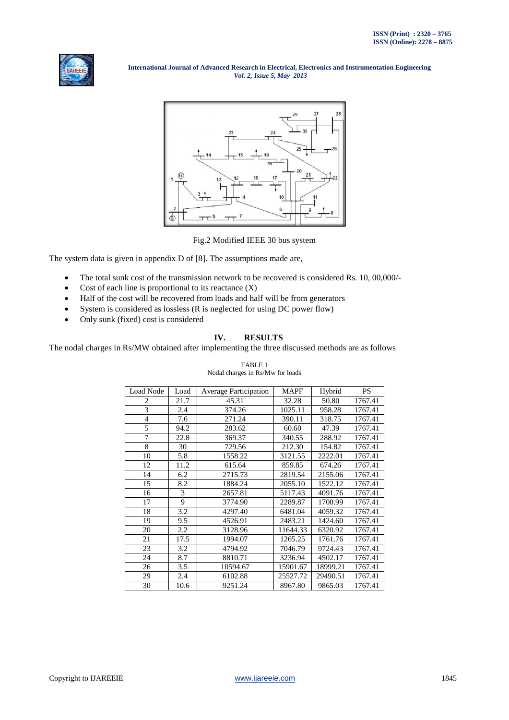



Fig.2 Modified IEEE 30 bus system

The system data is given in appendix D of [8]. The assumptions made are,

- The total sunk cost of the transmission network to be recovered is considered Rs. 10, 00,000/-
- Cost of each line is proportional to its reactance  $(X)$
- Half of the cost will be recovered from loads and half will be from generators
- System is considered as lossless (R is neglected for using DC power flow)
- Only sunk (fixed) cost is considered

### **IV. RESULTS**

The nodal charges in Rs/MW obtained after implementing the three discussed methods are as follows

## TABLE 1

| Load Node      | Load | Average Participation | <b>MAPF</b> | Hybrid   | <b>PS</b> |
|----------------|------|-----------------------|-------------|----------|-----------|
| 2              | 21.7 | 45.31                 | 32.28       | 50.80    | 1767.41   |
| 3              | 2.4  | 374.26                | 1025.11     | 958.28   | 1767.41   |
| $\overline{4}$ | 7.6  | 271.24                | 390.11      | 318.75   | 1767.41   |
| 5              | 94.2 | 283.62                | 60.60       | 47.39    | 1767.41   |
| 7              | 22.8 | 369.37                | 340.55      | 288.92   | 1767.41   |
| 8              | 30   | 729.56                | 212.30      | 154.82   | 1767.41   |
| 10             | 5.8  | 1558.22               | 3121.55     | 2222.01  | 1767.41   |
| 12             | 11.2 | 615.64                | 859.85      | 674.26   | 1767.41   |
| 14             | 6.2  | 2715.73               | 2819.54     | 2155.06  | 1767.41   |
| 15             | 8.2  | 1884.24               | 2055.10     | 1522.12  | 1767.41   |
| 16             | 3    | 2657.81               | 5117.43     | 4091.76  | 1767.41   |
| 17             | 9    | 3774.90               | 2289.87     | 1700.99  | 1767.41   |
| 18             | 3.2  | 4297.40               | 6481.04     | 4059.32  | 1767.41   |
| 19             | 9.5  | 4526.91               | 2483.21     | 1424.60  | 1767.41   |
| 20             | 2.2  | 3128.96               | 11644.33    | 6320.92  | 1767.41   |
| 21             | 17.5 | 1994.07               | 1265.25     | 1761.76  | 1767.41   |
| 23             | 3.2  | 4794.92               | 7046.79     | 9724.43  | 1767.41   |
| 24             | 8.7  | 8810.71               | 3236.94     | 4502.17  | 1767.41   |
| 26             | 3.5  | 10594.67              | 15901.67    | 18999.21 | 1767.41   |
| 29             | 2.4  | 6102.88               | 25527.72    | 29490.51 | 1767.41   |
| 30             | 10.6 | 9251.24               | 8967.80     | 9865.03  | 1767.41   |

Nodal charges in Rs/Mw for loads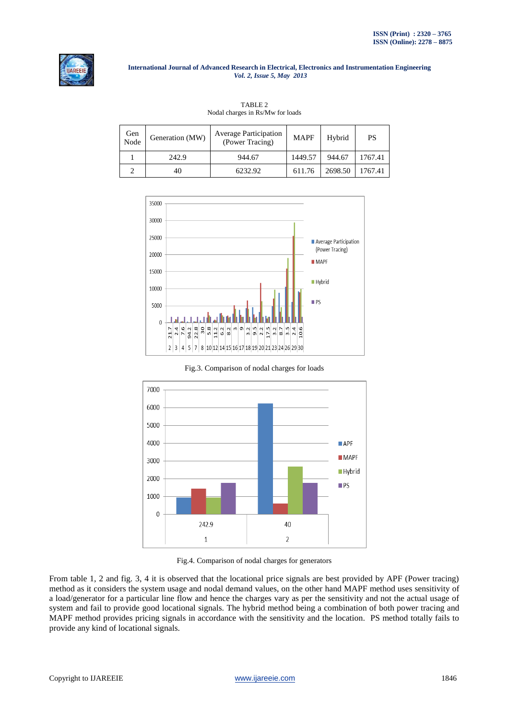

| Gen<br>Node | Generation (MW) | <b>Average Participation</b><br>(Power Tracing) | <b>MAPF</b> | Hybrid  | <b>PS</b> |
|-------------|-----------------|-------------------------------------------------|-------------|---------|-----------|
|             | 242.9           | 944.67                                          | 1449.57     | 944.67  | 1767.41   |
|             | 40              | 6232.92                                         | 611.76      | 2698.50 | 1767.41   |

TABLE 2 Nodal charges in Rs/Mw for loads



Fig.3. Comparison of nodal charges for loads



Fig.4. Comparison of nodal charges for generators

From table 1, 2 and fig. 3, 4 it is observed that the locational price signals are best provided by APF (Power tracing) method as it considers the system usage and nodal demand values, on the other hand MAPF method uses sensitivity of a load/generator for a particular line flow and hence the charges vary as per the sensitivity and not the actual usage of system and fail to provide good locational signals. The hybrid method being a combination of both power tracing and MAPF method provides pricing signals in accordance with the sensitivity and the location. PS method totally fails to provide any kind of locational signals.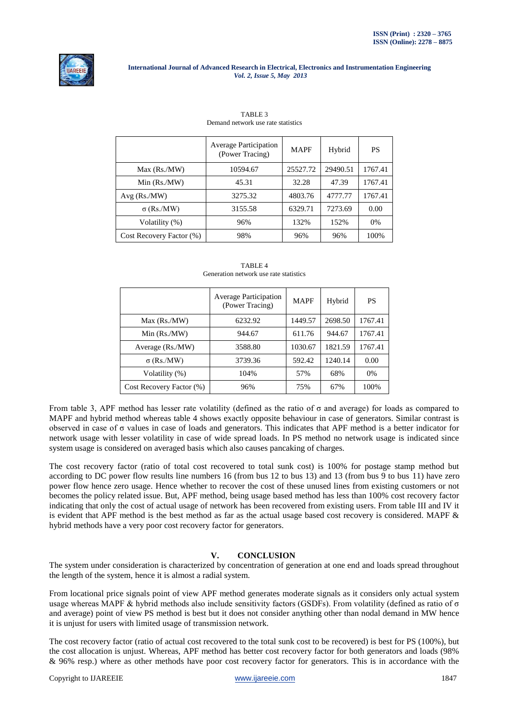

|                          | <b>Average Participation</b><br>(Power Tracing) | <b>MAPF</b> | Hybrid   | <b>PS</b> |
|--------------------------|-------------------------------------------------|-------------|----------|-----------|
| Max (Rs./MW)             | 10594.67                                        | 25527.72    | 29490.51 | 1767.41   |
| $Min$ (Rs./MW)           | 45.31                                           | 32.28       | 47.39    | 1767.41   |
| Avg(Rs/MW)               | 3275.32                                         | 4803.76     | 4777.77  | 1767.41   |
| $\sigma$ (Rs./MW)        | 3155.58                                         | 6329.71     | 7273.69  | 0.00      |
| Volatility (%)           | 96%                                             | 132%        | 152%     | 0%        |
| Cost Recovery Factor (%) | 98%                                             | 96%         | 96%      | 100%      |

TABLE 3 Demand network use rate statistics

| Generation network use rate statistics |                                                 |             |         |           |  |
|----------------------------------------|-------------------------------------------------|-------------|---------|-----------|--|
|                                        | <b>Average Participation</b><br>(Power Tracing) | <b>MAPF</b> | Hybrid  | <b>PS</b> |  |
| Max (Rs./MW)                           | 6232.92                                         | 1449.57     | 2698.50 | 1767.41   |  |
| Min $(Rs/MW)$                          | 944.67                                          | 611.76      | 944.67  | 1767.41   |  |
| Average (Rs./MW)                       | 3588.80                                         | 1030.67     | 1821.59 | 1767.41   |  |
| $\sigma$ (Rs./MW)                      | 3739.36                                         | 592.42      | 1240.14 | 0.00      |  |
| Volatility (%)                         | 104%                                            | 57%         | 68%     | 0%        |  |
| Cost Recovery Factor (%)               | 96%                                             | 75%         | 67%     | 100%      |  |

TABLE 4 Generation network use rate statistics

From table 3, APF method has lesser rate volatility (defined as the ratio of σ and average) for loads as compared to MAPF and hybrid method whereas table 4 shows exactly opposite behaviour in case of generators. Similar contrast is observed in case of  $\sigma$  values in case of loads and generators. This indicates that APF method is a better indicator for network usage with lesser volatility in case of wide spread loads. In PS method no network usage is indicated since system usage is considered on averaged basis which also causes pancaking of charges.

The cost recovery factor (ratio of total cost recovered to total sunk cost) is 100% for postage stamp method but according to DC power flow results line numbers 16 (from bus 12 to bus 13) and 13 (from bus 9 to bus 11) have zero power flow hence zero usage. Hence whether to recover the cost of these unused lines from existing customers or not becomes the policy related issue. But, APF method, being usage based method has less than 100% cost recovery factor indicating that only the cost of actual usage of network has been recovered from existing users. From table III and IV it is evident that APF method is the best method as far as the actual usage based cost recovery is considered. MAPF  $\&$ hybrid methods have a very poor cost recovery factor for generators.

# **V. CONCLUSION**

The system under consideration is characterized by concentration of generation at one end and loads spread throughout the length of the system, hence it is almost a radial system.

From locational price signals point of view APF method generates moderate signals as it considers only actual system usage whereas MAPF & hybrid methods also include sensitivity factors (GSDFs). From volatility (defined as ratio of  $\sigma$ and average) point of view PS method is best but it does not consider anything other than nodal demand in MW hence it is unjust for users with limited usage of transmission network.

The cost recovery factor (ratio of actual cost recovered to the total sunk cost to be recovered) is best for PS (100%), but the cost allocation is unjust. Whereas, APF method has better cost recovery factor for both generators and loads (98% & 96% resp.) where as other methods have poor cost recovery factor for generators. This is in accordance with the